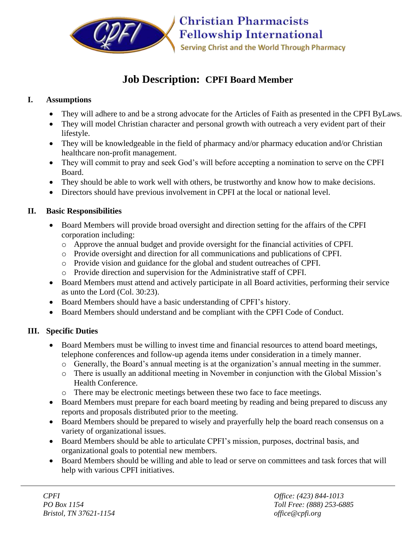

# **Job Description: CPFI Board Member**

#### **I. Assumptions**

- They will adhere to and be a strong advocate for the Articles of Faith as presented in the CPFI ByLaws.
- They will model Christian character and personal growth with outreach a very evident part of their lifestyle.
- They will be knowledgeable in the field of pharmacy and/or pharmacy education and/or Christian healthcare non-profit management.
- They will commit to pray and seek God's will before accepting a nomination to serve on the CPFI Board.
- They should be able to work well with others, be trustworthy and know how to make decisions.
- Directors should have previous involvement in CPFI at the local or national level.

### **II. Basic Responsibilities**

- Board Members will provide broad oversight and direction setting for the affairs of the CPFI corporation including:
	- o Approve the annual budget and provide oversight for the financial activities of CPFI.
	- o Provide oversight and direction for all communications and publications of CPFI.
	- o Provide vision and guidance for the global and student outreaches of CPFI.
	- o Provide direction and supervision for the Administrative staff of CPFI.
- Board Members must attend and actively participate in all Board activities, performing their service as unto the Lord (Col. 30:23).
- Board Members should have a basic understanding of CPFI's history.
- Board Members should understand and be compliant with the CPFI Code of Conduct.

## **III. Specific Duties**

- Board Members must be willing to invest time and financial resources to attend board meetings, telephone conferences and follow-up agenda items under consideration in a timely manner.
	- o Generally, the Board's annual meeting is at the organization's annual meeting in the summer.
	- o There is usually an additional meeting in November in conjunction with the Global Mission's Health Conference.
	- o There may be electronic meetings between these two face to face meetings.
- Board Members must prepare for each board meeting by reading and being prepared to discuss any reports and proposals distributed prior to the meeting.
- Board Members should be prepared to wisely and prayerfully help the board reach consensus on a variety of organizational issues.
- Board Members should be able to articulate CPFI's mission, purposes, doctrinal basis, and organizational goals to potential new members.
- Board Members should be willing and able to lead or serve on committees and task forces that will help with various CPFI initiatives.